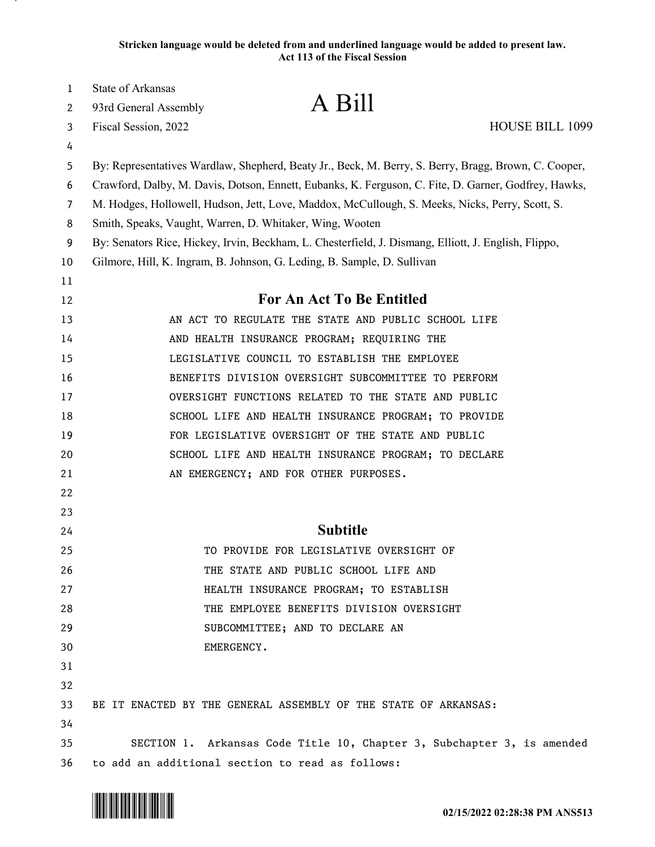| 1  | State of Arkansas                                        |                                                                                                      |                        |
|----|----------------------------------------------------------|------------------------------------------------------------------------------------------------------|------------------------|
| 2  | 93rd General Assembly                                    | A Bill                                                                                               |                        |
| 3  | Fiscal Session, 2022                                     |                                                                                                      | <b>HOUSE BILL 1099</b> |
| 4  |                                                          |                                                                                                      |                        |
| 5  |                                                          | By: Representatives Wardlaw, Shepherd, Beaty Jr., Beck, M. Berry, S. Berry, Bragg, Brown, C. Cooper, |                        |
| 6  |                                                          | Crawford, Dalby, M. Davis, Dotson, Ennett, Eubanks, K. Ferguson, C. Fite, D. Garner, Godfrey, Hawks, |                        |
| 7  |                                                          | M. Hodges, Hollowell, Hudson, Jett, Love, Maddox, McCullough, S. Meeks, Nicks, Perry, Scott, S.      |                        |
| 8  | Smith, Speaks, Vaught, Warren, D. Whitaker, Wing, Wooten |                                                                                                      |                        |
| 9  |                                                          | By: Senators Rice, Hickey, Irvin, Beckham, L. Chesterfield, J. Dismang, Elliott, J. English, Flippo, |                        |
| 10 |                                                          | Gilmore, Hill, K. Ingram, B. Johnson, G. Leding, B. Sample, D. Sullivan                              |                        |
| 11 |                                                          |                                                                                                      |                        |
| 12 |                                                          | For An Act To Be Entitled                                                                            |                        |
| 13 |                                                          | AN ACT TO REGULATE THE STATE AND PUBLIC SCHOOL LIFE                                                  |                        |
| 14 |                                                          | AND HEALTH INSURANCE PROGRAM; REQUIRING THE                                                          |                        |
| 15 |                                                          | LEGISLATIVE COUNCIL TO ESTABLISH THE EMPLOYEE                                                        |                        |
| 16 |                                                          | BENEFITS DIVISION OVERSIGHT SUBCOMMITTEE TO PERFORM                                                  |                        |
| 17 |                                                          | OVERSIGHT FUNCTIONS RELATED TO THE STATE AND PUBLIC                                                  |                        |
| 18 |                                                          | SCHOOL LIFE AND HEALTH INSURANCE PROGRAM; TO PROVIDE                                                 |                        |
| 19 |                                                          | FOR LEGISLATIVE OVERSIGHT OF THE STATE AND PUBLIC                                                    |                        |
| 20 |                                                          | SCHOOL LIFE AND HEALTH INSURANCE PROGRAM; TO DECLARE                                                 |                        |
| 21 |                                                          | AN EMERGENCY; AND FOR OTHER PURPOSES.                                                                |                        |
| 22 |                                                          |                                                                                                      |                        |
| 23 |                                                          |                                                                                                      |                        |
| 24 |                                                          | <b>Subtitle</b>                                                                                      |                        |
| 25 |                                                          | TO PROVIDE FOR LEGISLATIVE OVERSIGHT OF                                                              |                        |
| 26 |                                                          | THE STATE AND PUBLIC SCHOOL LIFE AND                                                                 |                        |
| 27 |                                                          | HEALTH INSURANCE PROGRAM; TO ESTABLISH                                                               |                        |
| 28 |                                                          | THE EMPLOYEE BENEFITS DIVISION OVERSIGHT                                                             |                        |
| 29 |                                                          | SUBCOMMITTEE; AND TO DECLARE AN                                                                      |                        |
| 30 | EMERGENCY.                                               |                                                                                                      |                        |
| 31 |                                                          |                                                                                                      |                        |
| 32 |                                                          |                                                                                                      |                        |
| 33 |                                                          | BE IT ENACTED BY THE GENERAL ASSEMBLY OF THE STATE OF ARKANSAS:                                      |                        |
| 34 |                                                          |                                                                                                      |                        |
| 35 |                                                          | SECTION 1. Arkansas Code Title 10, Chapter 3, Subchapter 3, is amended                               |                        |
| 36 |                                                          | to add an additional section to read as follows:                                                     |                        |

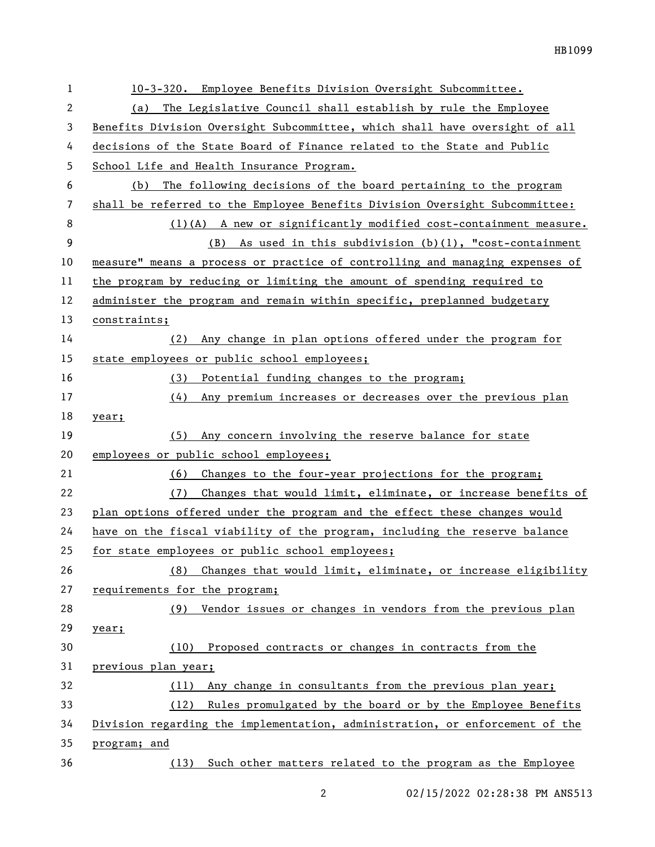| 1  | 10-3-320. Employee Benefits Division Oversight Subcommittee.                 |
|----|------------------------------------------------------------------------------|
| 2  | The Legislative Council shall establish by rule the Employee<br>(a)          |
| 3  | Benefits Division Oversight Subcommittee, which shall have oversight of all  |
| 4  | decisions of the State Board of Finance related to the State and Public      |
| 5  | School Life and Health Insurance Program.                                    |
| 6  | The following decisions of the board pertaining to the program<br>(b)        |
| 7  | shall be referred to the Employee Benefits Division Oversight Subcommittee:  |
| 8  | $(1)(A)$ A new or significantly modified cost-containment measure.           |
| 9  | (B) As used in this subdivision $(b)(1)$ , "cost-containment                 |
| 10 | measure" means a process or practice of controlling and managing expenses of |
| 11 | the program by reducing or limiting the amount of spending required to       |
| 12 | administer the program and remain within specific, preplanned budgetary      |
| 13 | constraints;                                                                 |
| 14 | Any change in plan options offered under the program for<br>(2)              |
| 15 | state employees or public school employees;                                  |
| 16 | Potential funding changes to the program;<br>(3)                             |
| 17 | (4)<br>Any premium increases or decreases over the previous plan             |
| 18 | year;                                                                        |
| 19 | Any concern involving the reserve balance for state<br>(5)                   |
| 20 | employees or public school employees;                                        |
| 21 | Changes to the four-year projections for the program;<br>(6)                 |
| 22 | (7)<br>Changes that would limit, eliminate, or increase benefits of          |
| 23 | plan options offered under the program and the effect these changes would    |
| 24 | have on the fiscal viability of the program, including the reserve balance   |
| 25 | for state employees or public school employees;                              |
| 26 | Changes that would limit, eliminate, or increase eligibility<br>(8)          |
| 27 | requirements for the program;                                                |
| 28 | Vendor issues or changes in vendors from the previous plan<br>(9)            |
| 29 | year;                                                                        |
| 30 | Proposed contracts or changes in contracts from the<br>(10)                  |
| 31 | previous plan year;                                                          |
| 32 | Any change in consultants from the previous plan year;<br>(11)               |
| 33 | (12) Rules promulgated by the board or by the Employee Benefits              |
| 34 | Division regarding the implementation, administration, or enforcement of the |
| 35 | program; and                                                                 |
| 36 | Such other matters related to the program as the Employee<br>(13)            |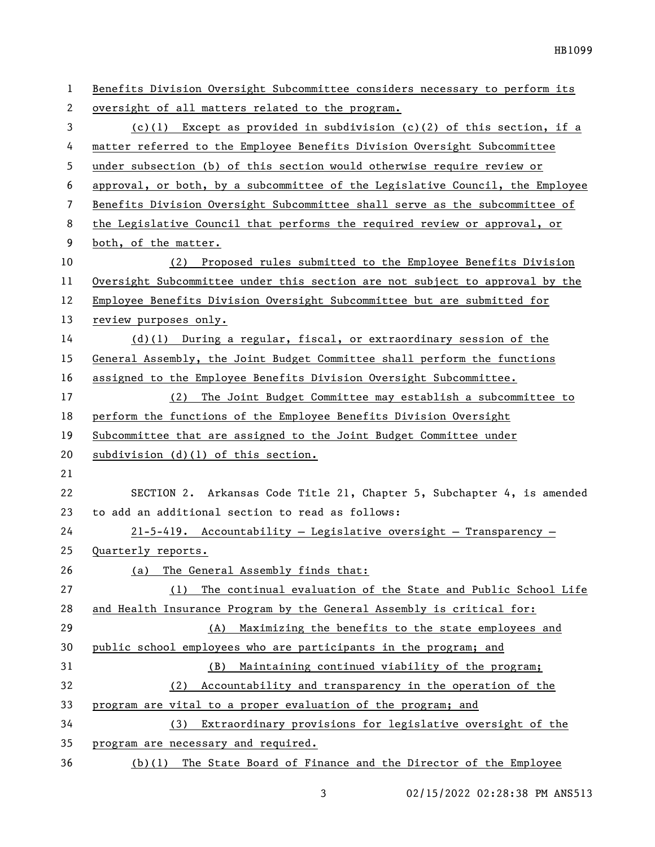| 1              | Benefits Division Oversight Subcommittee considers necessary to perform its   |
|----------------|-------------------------------------------------------------------------------|
| 2              | oversight of all matters related to the program.                              |
| 3              | (c)(1) Except as provided in subdivision (c)(2) of this section, if a         |
| 4              | matter referred to the Employee Benefits Division Oversight Subcommittee      |
| 5              | under subsection (b) of this section would otherwise require review or        |
| 6              | approval, or both, by a subcommittee of the Legislative Council, the Employee |
| $\overline{7}$ | Benefits Division Oversight Subcommittee shall serve as the subcommittee of   |
| 8              | the Legislative Council that performs the required review or approval, or     |
| 9              | both, of the matter.                                                          |
| 10             | Proposed rules submitted to the Employee Benefits Division<br>(2)             |
| 11             | Oversight Subcommittee under this section are not subject to approval by the  |
| 12             | Employee Benefits Division Oversight Subcommittee but are submitted for       |
| 13             | review purposes only.                                                         |
| 14             | $(d)(1)$ During a regular, fiscal, or extraordinary session of the            |
| 15             | General Assembly, the Joint Budget Committee shall perform the functions      |
| 16             | assigned to the Employee Benefits Division Oversight Subcommittee.            |
| 17             | (2) The Joint Budget Committee may establish a subcommittee to                |
| 18             | perform the functions of the Employee Benefits Division Oversight             |
| 19             | Subcommittee that are assigned to the Joint Budget Committee under            |
| 20             | subdivision (d)(1) of this section.                                           |
| 21             |                                                                               |
| 22             | SECTION 2. Arkansas Code Title 21, Chapter 5, Subchapter 4, is amended        |
| 23             | to add an additional section to read as follows:                              |
| 24             | $21-5-419$ . Accountability - Legislative oversight - Transparency -          |
| 25             | Quarterly reports.                                                            |
| 26             | The General Assembly finds that:<br>(a)                                       |
| 27             | The continual evaluation of the State and Public School Life<br>(1)           |
| 28             | and Health Insurance Program by the General Assembly is critical for:         |
| 29             | Maximizing the benefits to the state employees and<br>(A)                     |
| 30             | public school employees who are participants in the program; and              |
| 31             | Maintaining continued viability of the program;<br>(B)                        |
| 32             | Accountability and transparency in the operation of the<br>(2)                |
| 33             | program are vital to a proper evaluation of the program; and                  |
| 34             | (3) Extraordinary provisions for legislative oversight of the                 |
| 35             | program are necessary and required.                                           |
| 36             | (b)(1) The State Board of Finance and the Director of the Employee            |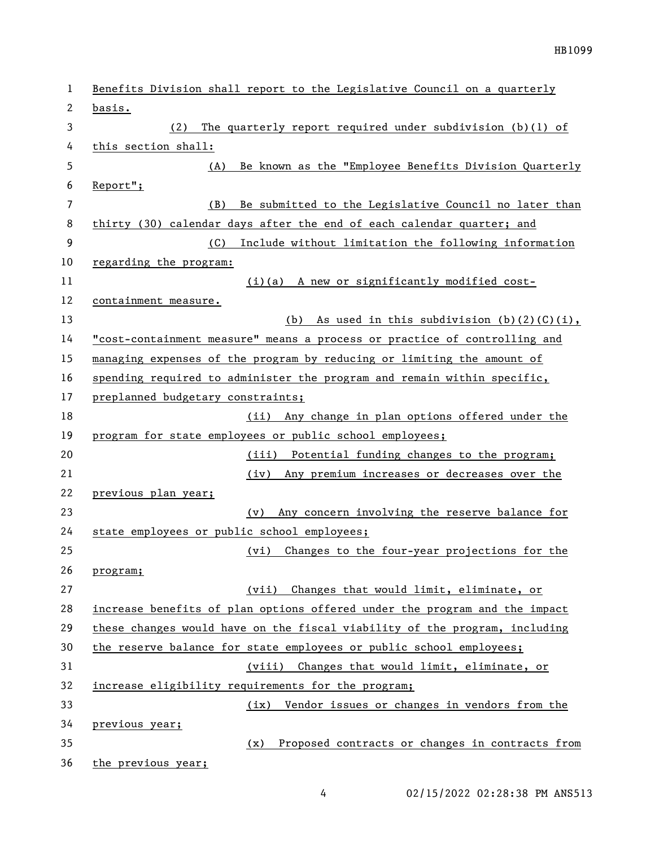| $\mathbf{1}$ | Benefits Division shall report to the Legislative Council on a quarterly   |
|--------------|----------------------------------------------------------------------------|
| 2            | basis.                                                                     |
| 3            | (2)<br>The quarterly report required under subdivision $(b)(1)$ of         |
| 4            | this section shall:                                                        |
| 5            | Be known as the "Employee Benefits Division Quarterly<br>(A)               |
| 6            | $Report$ ";                                                                |
| 7            | (B)<br>Be submitted to the Legislative Council no later than               |
| 8            | thirty (30) calendar days after the end of each calendar quarter; and      |
| 9            | (C)<br>Include without limitation the following information                |
| 10           | regarding the program:                                                     |
| 11           | (i)(a) A new or significantly modified cost-                               |
| 12           | containment measure.                                                       |
| 13           | (b) As used in this subdivision $(b)(2)(C)(i)$ ,                           |
| 14           | "cost-containment measure" means a process or practice of controlling and  |
| 15           | managing expenses of the program by reducing or limiting the amount of     |
| 16           | spending required to administer the program and remain within specific,    |
| 17           | preplanned budgetary constraints;                                          |
| 18           | Any change in plan options offered under the<br>(ii)                       |
| 19           | program for state employees or public school employees;                    |
| 20           | (iii) Potential funding changes to the program;                            |
| 21           | Any premium increases or decreases over the<br>(iv)                        |
| 22           | previous plan year;                                                        |
| 23           | Any concern involving the reserve balance for<br>(v)                       |
| 24           | state employees or public school employees;                                |
| 25           | (vi) Changes to the four-year projections for the                          |
| 26           | program;                                                                   |
| 27           | (vii) Changes that would limit, eliminate, or                              |
| 28           | increase benefits of plan options offered under the program and the impact |
| 29           | these changes would have on the fiscal viability of the program, including |
| 30           | the reserve balance for state employees or public school employees;        |
| 31           | (viii) Changes that would limit, eliminate, or                             |
| 32           | increase eligibility requirements for the program;                         |
| 33           | (ix) Vendor issues or changes in vendors from the                          |
| 34           | previous year;                                                             |
| 35           | Proposed contracts or changes in contracts from<br>(x)                     |
| 36           | the previous year;                                                         |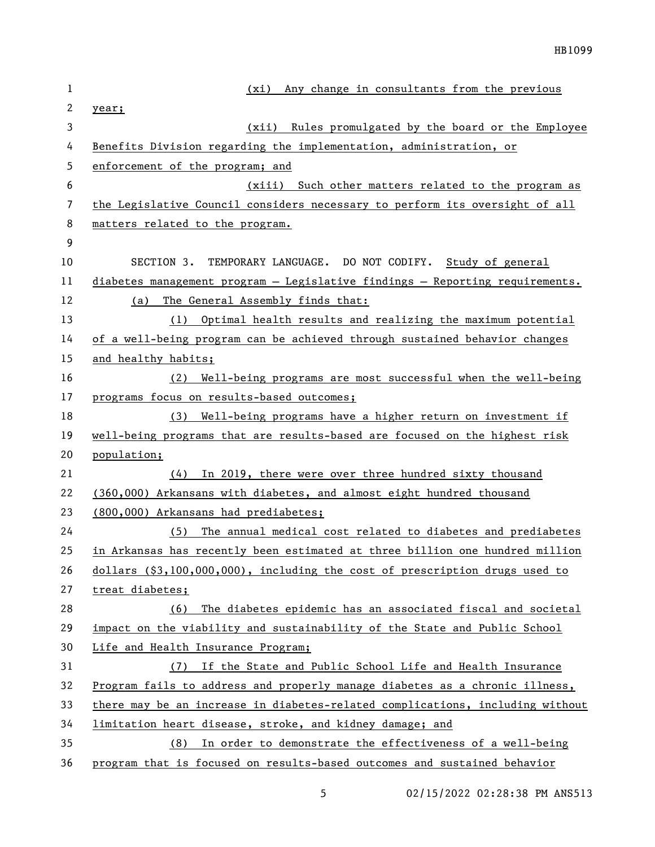| 1  | Any change in consultants from the previous<br>(xi)                           |
|----|-------------------------------------------------------------------------------|
| 2  | year;                                                                         |
| 3  | (xii) Rules promulgated by the board or the Employee                          |
| 4  | Benefits Division regarding the implementation, administration, or            |
| 5  | enforcement of the program; and                                               |
| 6  | (xiii) Such other matters related to the program as                           |
| 7  | the Legislative Council considers necessary to perform its oversight of all   |
| 8  | matters related to the program.                                               |
| 9  |                                                                               |
| 10 | TEMPORARY LANGUAGE. DO NOT CODIFY. Study of general<br>SECTION 3.             |
| 11 | diabetes management program - Legislative findings - Reporting requirements.  |
| 12 | The General Assembly finds that:<br>(a)                                       |
| 13 | Optimal health results and realizing the maximum potential<br>(1)             |
| 14 | of a well-being program can be achieved through sustained behavior changes    |
| 15 | and healthy habits;                                                           |
| 16 | Well-being programs are most successful when the well-being<br>(2)            |
| 17 | programs focus on results-based outcomes;                                     |
| 18 | (3) Well-being programs have a higher return on investment if                 |
| 19 | well-being programs that are results-based are focused on the highest risk    |
| 20 | population;                                                                   |
| 21 | In 2019, there were over three hundred sixty thousand<br>(4)                  |
| 22 | (360,000) Arkansans with diabetes, and almost eight hundred thousand          |
| 23 | (800,000) Arkansans had prediabetes;                                          |
| 24 | The annual medical cost related to diabetes and prediabetes<br>(5)            |
| 25 | in Arkansas has recently been estimated at three billion one hundred million  |
| 26 | dollars (\$3,100,000,000), including the cost of prescription drugs used to   |
| 27 | treat diabetes;                                                               |
| 28 | The diabetes epidemic has an associated fiscal and societal<br>(6)            |
| 29 | impact on the viability and sustainability of the State and Public School     |
| 30 | Life and Health Insurance Program;                                            |
| 31 | If the State and Public School Life and Health Insurance<br>(7)               |
| 32 | Program fails to address and properly manage diabetes as a chronic illness,   |
| 33 | there may be an increase in diabetes-related complications, including without |
| 34 | limitation heart disease, stroke, and kidney damage; and                      |
| 35 | In order to demonstrate the effectiveness of a well-being<br>(8)              |
| 36 | program that is focused on results-based outcomes and sustained behavior      |